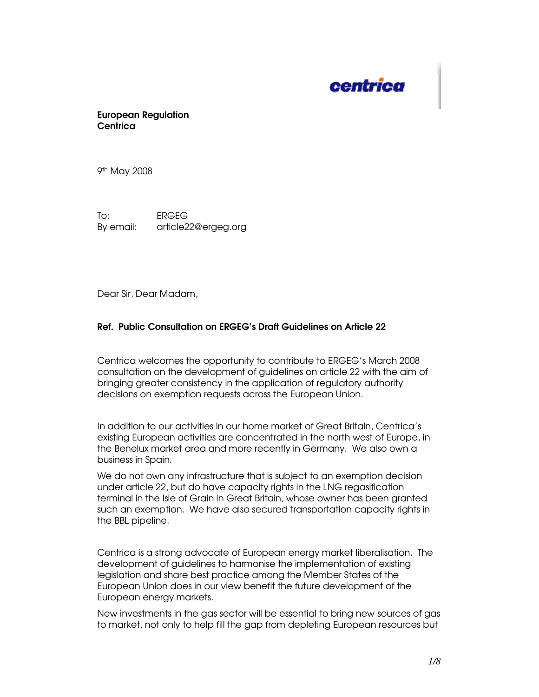

European Regulation **Centrica** 

9 th May 2008

To: ERGEG By email: article22@ergeg.org

Dear Sir, Dear Madam,

## Ref. Public Consultation on ERGEG's Draft Guidelines on Article 22

Centrica welcomes the opportunity to contribute to ERGEG's March 2008 consultation on the development of guidelines on article 22 with the aim of bringing greater consistency in the application of regulatory authority decisions on exemption requests across the European Union.

In addition to our activities in our home market of Great Britain, Centrica's existing European activities are concentrated in the north west of Europe, in the Benelux market area and more recently in Germany. We also own a business in Spain.

We do not own any infrastructure that is subject to an exemption decision under article 22, but do have capacity rights in the LNG regasification terminal in the Isle of Grain in Great Britain, whose owner has been granted such an exemption. We have also secured transportation capacity rights in the BBL pipeline.

Centrica is a strong advocate of European energy market liberalisation. The development of guidelines to harmonise the implementation of existing legislation and share best practice among the Member States of the European Union does in our view benefit the future development of the European energy markets.

New investments in the gas sector will be essential to bring new sources of gas to market, not only to help fill the gap from depleting European resources but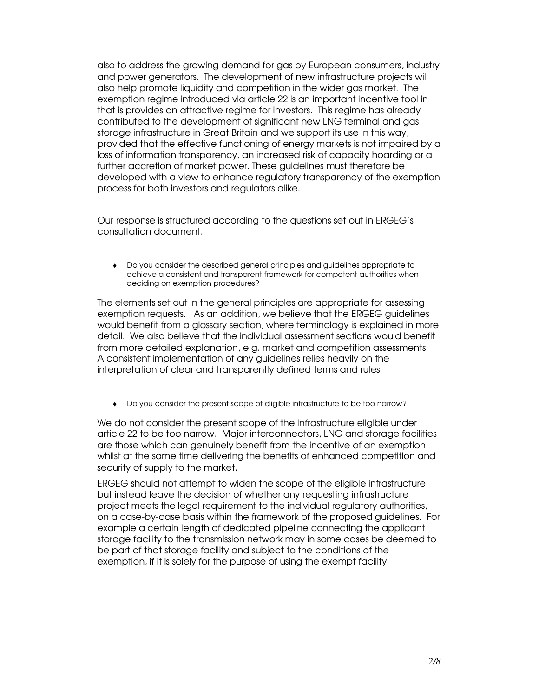also to address the growing demand for gas by European consumers, industry and power generators. The development of new infrastructure projects will also help promote liquidity and competition in the wider gas market. The exemption regime introduced via article 22 is an important incentive tool in that is provides an attractive regime for investors. This regime has already contributed to the development of significant new LNG terminal and gas storage infrastructure in Great Britain and we support its use in this way, provided that the effective functioning of energy markets is not impaired by a loss of information transparency, an increased risk of capacity hoarding or a further accretion of market power. These guidelines must therefore be developed with a view to enhance regulatory transparency of the exemption process for both investors and regulators alike.

Our response is structured according to the questions set out in ERGEG's consultation document.

♦ Do you consider the described general principles and guidelines appropriate to achieve a consistent and transparent framework for competent authorities when deciding on exemption procedures?

The elements set out in the general principles are appropriate for assessing exemption requests. As an addition, we believe that the ERGEG guidelines would benefit from a glossary section, where terminology is explained in more detail. We also believe that the individual assessment sections would benefit from more detailed explanation, e.g. market and competition assessments. A consistent implementation of any guidelines relies heavily on the interpretation of clear and transparently defined terms and rules.

♦ Do you consider the present scope of eligible infrastructure to be too narrow?

We do not consider the present scope of the infrastructure eligible under article 22 to be too narrow. Major interconnectors, LNG and storage facilities are those which can genuinely benefit from the incentive of an exemption whilst at the same time delivering the benefits of enhanced competition and security of supply to the market.

ERGEG should not attempt to widen the scope of the eligible infrastructure but instead leave the decision of whether any requesting infrastructure project meets the legal requirement to the individual regulatory authorities, on a case-by-case basis within the framework of the proposed guidelines. For example a certain length of dedicated pipeline connecting the applicant storage facility to the transmission network may in some cases be deemed to be part of that storage facility and subject to the conditions of the exemption, if it is solely for the purpose of using the exempt facility.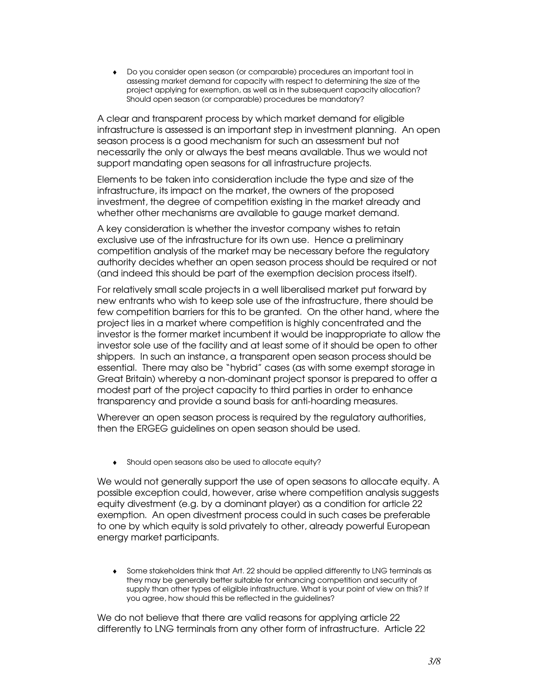♦ Do you consider open season (or comparable) procedures an important tool in assessing market demand for capacity with respect to determining the size of the project applying for exemption, as well as in the subsequent capacity allocation? Should open season (or comparable) procedures be mandatory?

A clear and transparent process by which market demand for eligible infrastructure is assessed is an important step in investment planning. An open season process is a good mechanism for such an assessment but not necessarily the only or always the best means available. Thus we would not support mandating open seasons for all infrastructure projects.

Elements to be taken into consideration include the type and size of the infrastructure, its impact on the market, the owners of the proposed investment, the degree of competition existing in the market already and whether other mechanisms are available to gauge market demand.

A key consideration is whether the investor company wishes to retain exclusive use of the infrastructure for its own use. Hence a preliminary competition analysis of the market may be necessary before the regulatory authority decides whether an open season process should be required or not (and indeed this should be part of the exemption decision process itself).

For relatively small scale projects in a well liberalised market put forward by new entrants who wish to keep sole use of the infrastructure, there should be few competition barriers for this to be granted. On the other hand, where the project lies in a market where competition is highly concentrated and the investor is the former market incumbent it would be inappropriate to allow the investor sole use of the facility and at least some of it should be open to other shippers. In such an instance, a transparent open season process should be essential. There may also be "hybrid" cases (as with some exempt storage in Great Britain) whereby a non-dominant project sponsor is prepared to offer a modest part of the project capacity to third parties in order to enhance transparency and provide a sound basis for anti-hoarding measures.

Wherever an open season process is required by the regulatory authorities, then the ERGEG guidelines on open season should be used.

♦ Should open seasons also be used to allocate equity?

We would not generally support the use of open seasons to allocate equity. A possible exception could, however, arise where competition analysis suggests equity divestment (e.g. by a dominant player) as a condition for article 22 exemption. An open divestment process could in such cases be preferable to one by which equity is sold privately to other, already powerful European energy market participants.

♦ Some stakeholders think that Art. 22 should be applied differently to LNG terminals as they may be generally better suitable for enhancing competition and security of supply than other types of eligible infrastructure. What is your point of view on this? If you agree, how should this be reflected in the guidelines?

We do not believe that there are valid reasons for applying article 22 differently to LNG terminals from any other form of infrastructure. Article 22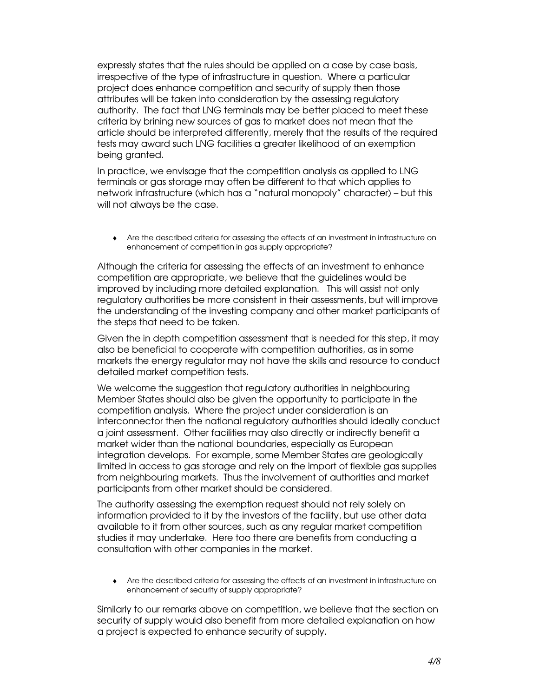expressly states that the rules should be applied on a case by case basis, irrespective of the type of infrastructure in question. Where a particular project does enhance competition and security of supply then those attributes will be taken into consideration by the assessing regulatory authority. The fact that LNG terminals may be better placed to meet these criteria by brining new sources of gas to market does not mean that the article should be interpreted differently, merely that the results of the required tests may award such LNG facilities a greater likelihood of an exemption being granted.

In practice, we envisage that the competition analysis as applied to LNG terminals or gas storage may often be different to that which applies to network infrastructure (which has a "natural monopoly" character) – but this will not always be the case.

♦ Are the described criteria for assessing the effects of an investment in infrastructure on enhancement of competition in gas supply appropriate?

Although the criteria for assessing the effects of an investment to enhance competition are appropriate, we believe that the guidelines would be improved by including more detailed explanation. This will assist not only regulatory authorities be more consistent in their assessments, but will improve the understanding of the investing company and other market participants of the steps that need to be taken.

Given the in depth competition assessment that is needed for this step, it may also be beneficial to cooperate with competition authorities, as in some markets the energy regulator may not have the skills and resource to conduct detailed market competition tests.

We welcome the suggestion that regulatory authorities in neighbouring Member States should also be given the opportunity to participate in the competition analysis. Where the project under consideration is an interconnector then the national regulatory authorities should ideally conduct a joint assessment. Other facilities may also directly or indirectly benefit a market wider than the national boundaries, especially as European integration develops. For example, some Member States are geologically limited in access to gas storage and rely on the import of flexible gas supplies from neighbouring markets. Thus the involvement of authorities and market participants from other market should be considered.

The authority assessing the exemption request should not rely solely on information provided to it by the investors of the facility, but use other data available to it from other sources, such as any regular market competition studies it may undertake. Here too there are benefits from conducting a consultation with other companies in the market.

♦ Are the described criteria for assessing the effects of an investment in infrastructure on enhancement of security of supply appropriate?

Similarly to our remarks above on competition, we believe that the section on security of supply would also benefit from more detailed explanation on how a project is expected to enhance security of supply.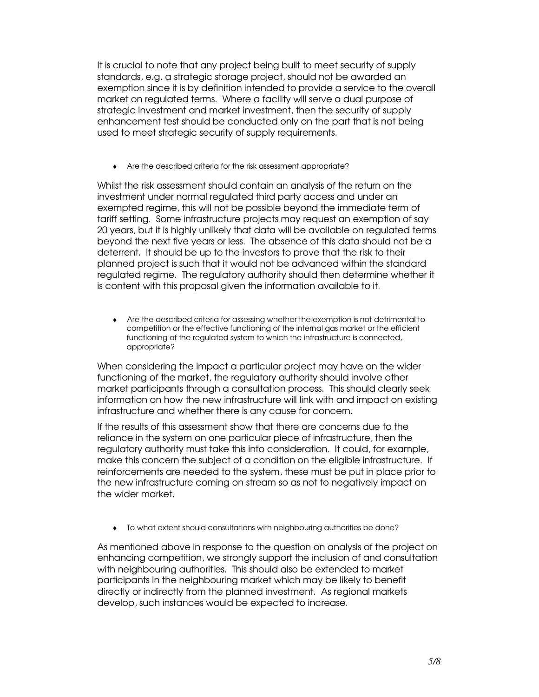It is crucial to note that any project being built to meet security of supply standards, e.g. a strategic storage project, should not be awarded an exemption since it is by definition intended to provide a service to the overall market on regulated terms. Where a facility will serve a dual purpose of strategic investment and market investment, then the security of supply enhancement test should be conducted only on the part that is not being used to meet strategic security of supply requirements.

♦ Are the described criteria for the risk assessment appropriate?

Whilst the risk assessment should contain an analysis of the return on the investment under normal regulated third party access and under an exempted regime, this will not be possible beyond the immediate term of tariff setting. Some infrastructure projects may request an exemption of say 20 years, but it is highly unlikely that data will be available on regulated terms beyond the next five years or less. The absence of this data should not be a deterrent. It should be up to the investors to prove that the risk to their planned project is such that it would not be advanced within the standard regulated regime. The regulatory authority should then determine whether it is content with this proposal given the information available to it.

♦ Are the described criteria for assessing whether the exemption is not detrimental to competition or the effective functioning of the internal gas market or the efficient functioning of the regulated system to which the infrastructure is connected, appropriate?

When considering the impact a particular project may have on the wider functioning of the market, the regulatory authority should involve other market participants through a consultation process. This should clearly seek information on how the new infrastructure will link with and impact on existing infrastructure and whether there is any cause for concern.

If the results of this assessment show that there are concerns due to the reliance in the system on one particular piece of infrastructure, then the regulatory authority must take this into consideration. It could, for example, make this concern the subject of a condition on the eligible infrastructure. If reinforcements are needed to the system, these must be put in place prior to the new infrastructure coming on stream so as not to negatively impact on the wider market.

♦ To what extent should consultations with neighbouring authorities be done?

As mentioned above in response to the question on analysis of the project on enhancing competition, we strongly support the inclusion of and consultation with neighbouring authorities. This should also be extended to market participants in the neighbouring market which may be likely to benefit directly or indirectly from the planned investment. As regional markets develop, such instances would be expected to increase.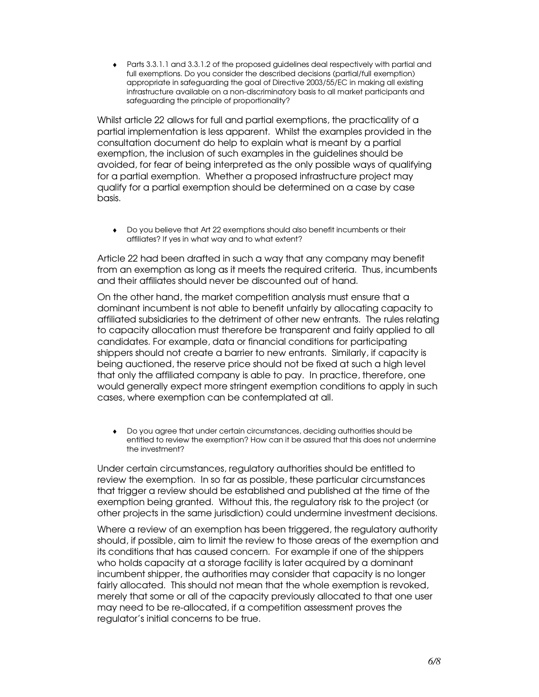Parts 3.3.1.1 and 3.3.1.2 of the proposed guidelines deal respectively with partial and full exemptions. Do you consider the described decisions (partial/full exemption) appropriate in safeguarding the goal of Directive 2003/55/EC in making all existing infrastructure available on a non-discriminatory basis to all market participants and safeguarding the principle of proportionality?

Whilst article 22 allows for full and partial exemptions, the practicality of a partial implementation is less apparent. Whilst the examples provided in the consultation document do help to explain what is meant by a partial exemption, the inclusion of such examples in the guidelines should be avoided, for fear of being interpreted as the only possible ways of qualifying for a partial exemption. Whether a proposed infrastructure project may qualify for a partial exemption should be determined on a case by case basis.

Do you believe that Art 22 exemptions should also benefit incumbents or their affiliates? If yes in what way and to what extent?

Article 22 had been drafted in such a way that any company may benefit from an exemption as long as it meets the required criteria. Thus, incumbents and their affiliates should never be discounted out of hand.

On the other hand, the market competition analysis must ensure that a dominant incumbent is not able to benefit unfairly by allocating capacity to affiliated subsidiaries to the detriment of other new entrants. The rules relating to capacity allocation must therefore be transparent and fairly applied to all candidates. For example, data or financial conditions for participating shippers should not create a barrier to new entrants. Similarly, if capacity is being auctioned, the reserve price should not be fixed at such a high level that only the affiliated company is able to pay. In practice, therefore, one would generally expect more stringent exemption conditions to apply in such cases, where exemption can be contemplated at all.

Do you agree that under certain circumstances, deciding authorities should be entitled to review the exemption? How can it be assured that this does not undermine the investment?

Under certain circumstances, regulatory authorities should be entitled to review the exemption. In so far as possible, these particular circumstances that trigger a review should be established and published at the time of the exemption being granted. Without this, the regulatory risk to the project (or other projects in the same jurisdiction) could undermine investment decisions.

Where a review of an exemption has been triggered, the regulatory authority should, if possible, aim to limit the review to those areas of the exemption and its conditions that has caused concern. For example if one of the shippers who holds capacity at a storage facility is later acquired by a dominant incumbent shipper, the authorities may consider that capacity is no longer fairly allocated. This should not mean that the whole exemption is revoked, merely that some or all of the capacity previously allocated to that one user may need to be re-allocated, if a competition assessment proves the regulator's initial concerns to be true.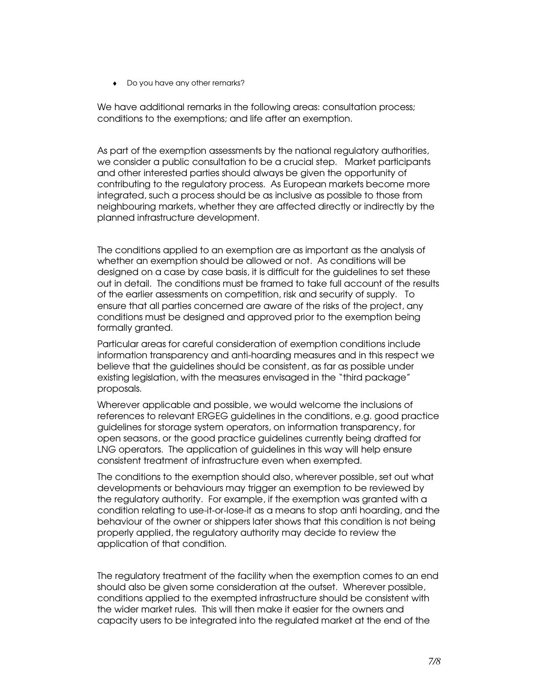♦ Do you have any other remarks?

We have additional remarks in the following areas: consultation process; conditions to the exemptions; and life after an exemption.

As part of the exemption assessments by the national regulatory authorities, we consider a public consultation to be a crucial step. Market participants and other interested parties should always be given the opportunity of contributing to the regulatory process. As European markets become more integrated, such a process should be as inclusive as possible to those from neighbouring markets, whether they are affected directly or indirectly by the planned infrastructure development.

The conditions applied to an exemption are as important as the analysis of whether an exemption should be allowed or not. As conditions will be designed on a case by case basis, it is difficult for the guidelines to set these out in detail. The conditions must be framed to take full account of the results of the earlier assessments on competition, risk and security of supply. To ensure that all parties concerned are aware of the risks of the project, any conditions must be designed and approved prior to the exemption being formally granted.

Particular areas for careful consideration of exemption conditions include information transparency and anti-hoarding measures and in this respect we believe that the guidelines should be consistent, as far as possible under existing legislation, with the measures envisaged in the "third package" proposals.

Wherever applicable and possible, we would welcome the inclusions of references to relevant ERGEG guidelines in the conditions, e.g. good practice guidelines for storage system operators, on information transparency, for open seasons, or the good practice guidelines currently being drafted for LNG operators. The application of guidelines in this way will help ensure consistent treatment of infrastructure even when exempted.

The conditions to the exemption should also, wherever possible, set out what developments or behaviours may trigger an exemption to be reviewed by the regulatory authority. For example, if the exemption was granted with a condition relating to use-it-or-lose-it as a means to stop anti hoarding, and the behaviour of the owner or shippers later shows that this condition is not being properly applied, the regulatory authority may decide to review the application of that condition.

The regulatory treatment of the facility when the exemption comes to an end should also be given some consideration at the outset. Wherever possible, conditions applied to the exempted infrastructure should be consistent with the wider market rules. This will then make it easier for the owners and capacity users to be integrated into the regulated market at the end of the